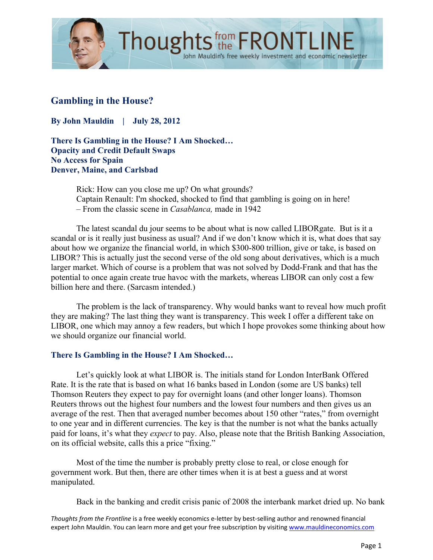

# **Gambling in the House?**

**By John Mauldin | July 28, 2012**

**There Is Gambling in the House? I Am Shocked… Opacity and Credit Default Swaps No Access for Spain Denver, Maine, and Carlsbad**

> Rick: How can you close me up? On what grounds? Captain Renault: I'm shocked, shocked to find that gambling is going on in here! – From the classic scene in *Casablanca,* made in 1942

The latest scandal du jour seems to be about what is now called LIBORgate. But is it a scandal or is it really just business as usual? And if we don't know which it is, what does that say about how we organize the financial world, in which \$300-800 trillion, give or take, is based on LIBOR? This is actually just the second verse of the old song about derivatives, which is a much larger market. Which of course is a problem that was not solved by Dodd-Frank and that has the potential to once again create true havoc with the markets, whereas LIBOR can only cost a few billion here and there. (Sarcasm intended.)

The problem is the lack of transparency. Why would banks want to reveal how much profit they are making? The last thing they want is transparency. This week I offer a different take on LIBOR, one which may annoy a few readers, but which I hope provokes some thinking about how we should organize our financial world.

### **There Is Gambling in the House? I Am Shocked…**

Let's quickly look at what LIBOR is. The initials stand for London InterBank Offered Rate. It is the rate that is based on what 16 banks based in London (some are US banks) tell Thomson Reuters they expect to pay for overnight loans (and other longer loans). Thomson Reuters throws out the highest four numbers and the lowest four numbers and then gives us an average of the rest. Then that averaged number becomes about 150 other "rates," from overnight to one year and in different currencies. The key is that the number is not what the banks actually paid for loans, it's what they *expect* to pay. Also, please note that the British Banking Association, on its official website, calls this a price "fixing."

Most of the time the number is probably pretty close to real, or close enough for government work. But then, there are other times when it is at best a guess and at worst manipulated.

Back in the banking and credit crisis panic of 2008 the interbank market dried up. No bank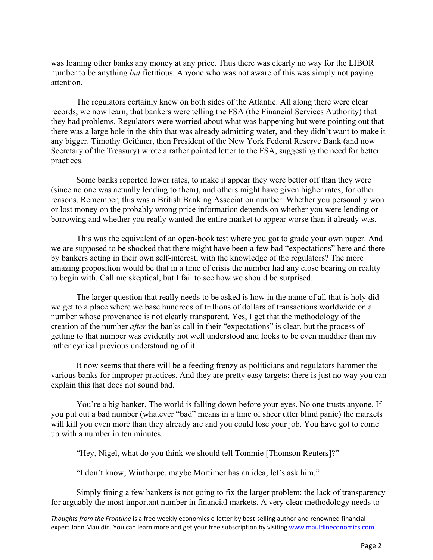was loaning other banks any money at any price. Thus there was clearly no way for the LIBOR number to be anything *but* fictitious. Anyone who was not aware of this was simply not paying attention.

The regulators certainly knew on both sides of the Atlantic. All along there were clear records, we now learn, that bankers were telling the FSA (the Financial Services Authority) that they had problems. Regulators were worried about what was happening but were pointing out that there was a large hole in the ship that was already admitting water, and they didn't want to make it any bigger. Timothy Geithner, then President of the New York Federal Reserve Bank (and now Secretary of the Treasury) wrote a rather pointed letter to the FSA, suggesting the need for better practices.

Some banks reported lower rates, to make it appear they were better off than they were (since no one was actually lending to them), and others might have given higher rates, for other reasons. Remember, this was a British Banking Association number. Whether you personally won or lost money on the probably wrong price information depends on whether you were lending or borrowing and whether you really wanted the entire market to appear worse than it already was.

This was the equivalent of an open-book test where you got to grade your own paper. And we are supposed to be shocked that there might have been a few bad "expectations" here and there by bankers acting in their own self-interest, with the knowledge of the regulators? The more amazing proposition would be that in a time of crisis the number had any close bearing on reality to begin with. Call me skeptical, but I fail to see how we should be surprised.

The larger question that really needs to be asked is how in the name of all that is holy did we get to a place where we base hundreds of trillions of dollars of transactions worldwide on a number whose provenance is not clearly transparent. Yes, I get that the methodology of the creation of the number *after* the banks call in their "expectations" is clear, but the process of getting to that number was evidently not well understood and looks to be even muddier than my rather cynical previous understanding of it.

It now seems that there will be a feeding frenzy as politicians and regulators hammer the various banks for improper practices. And they are pretty easy targets: there is just no way you can explain this that does not sound bad.

You're a big banker. The world is falling down before your eyes. No one trusts anyone. If you put out a bad number (whatever "bad" means in a time of sheer utter blind panic) the markets will kill you even more than they already are and you could lose your job. You have got to come up with a number in ten minutes.

"Hey, Nigel, what do you think we should tell Tommie [Thomson Reuters]?"

"I don't know, Winthorpe, maybe Mortimer has an idea; let's ask him."

Simply fining a few bankers is not going to fix the larger problem: the lack of transparency for arguably the most important number in financial markets. A very clear methodology needs to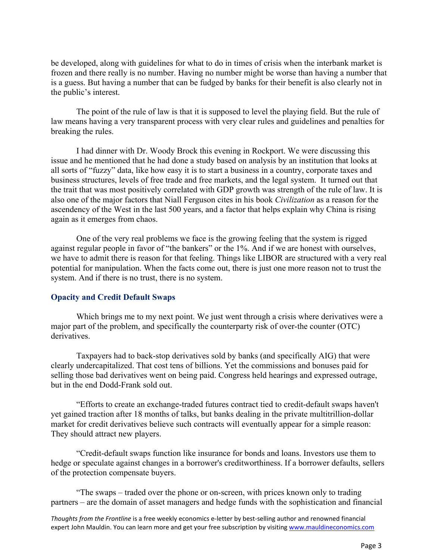be developed, along with guidelines for what to do in times of crisis when the interbank market is frozen and there really is no number. Having no number might be worse than having a number that is a guess. But having a number that can be fudged by banks for their benefit is also clearly not in the public's interest.

The point of the rule of law is that it is supposed to level the playing field. But the rule of law means having a very transparent process with very clear rules and guidelines and penalties for breaking the rules.

I had dinner with Dr. Woody Brock this evening in Rockport. We were discussing this issue and he mentioned that he had done a study based on analysis by an institution that looks at all sorts of "fuzzy" data, like how easy it is to start a business in a country, corporate taxes and business structures, levels of free trade and free markets, and the legal system. It turned out that the trait that was most positively correlated with GDP growth was strength of the rule of law. It is also one of the major factors that Niall Ferguson cites in his book *Civilization* as a reason for the ascendency of the West in the last 500 years, and a factor that helps explain why China is rising again as it emerges from chaos.

One of the very real problems we face is the growing feeling that the system is rigged against regular people in favor of "the bankers" or the 1%. And if we are honest with ourselves, we have to admit there is reason for that feeling. Things like LIBOR are structured with a very real potential for manipulation. When the facts come out, there is just one more reason not to trust the system. And if there is no trust, there is no system.

### **Opacity and Credit Default Swaps**

Which brings me to my next point. We just went through a crisis where derivatives were a major part of the problem, and specifically the counterparty risk of over-the counter (OTC) derivatives.

Taxpayers had to back-stop derivatives sold by banks (and specifically AIG) that were clearly undercapitalized. That cost tens of billions. Yet the commissions and bonuses paid for selling those bad derivatives went on being paid. Congress held hearings and expressed outrage, but in the end Dodd-Frank sold out.

"Efforts to create an exchange-traded futures contract tied to credit-default swaps haven't yet gained traction after 18 months of talks, but banks dealing in the private multitrillion-dollar market for credit derivatives believe such contracts will eventually appear for a simple reason: They should attract new players.

"Credit-default swaps function like insurance for bonds and loans. Investors use them to hedge or speculate against changes in a borrower's creditworthiness. If a borrower defaults, sellers of the protection compensate buyers.

"The swaps – traded over the phone or on-screen, with prices known only to trading partners – are the domain of asset managers and hedge funds with the sophistication and financial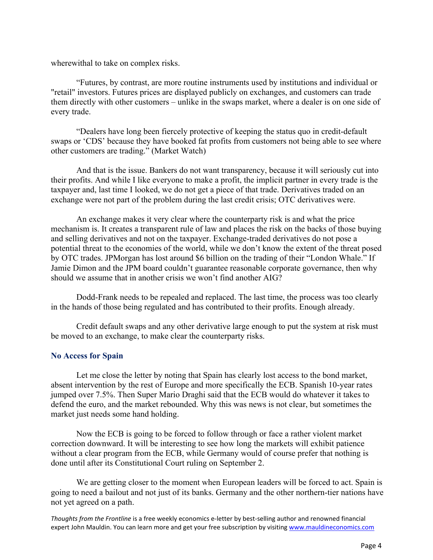wherewithal to take on complex risks.

"Futures, by contrast, are more routine instruments used by institutions and individual or "retail" investors. Futures prices are displayed publicly on exchanges, and customers can trade them directly with other customers – unlike in the swaps market, where a dealer is on one side of every trade.

"Dealers have long been fiercely protective of keeping the status quo in credit-default swaps or 'CDS' because they have booked fat profits from customers not being able to see where other customers are trading." (Market Watch)

And that is the issue. Bankers do not want transparency, because it will seriously cut into their profits. And while I like everyone to make a profit, the implicit partner in every trade is the taxpayer and, last time I looked, we do not get a piece of that trade. Derivatives traded on an exchange were not part of the problem during the last credit crisis; OTC derivatives were.

An exchange makes it very clear where the counterparty risk is and what the price mechanism is. It creates a transparent rule of law and places the risk on the backs of those buying and selling derivatives and not on the taxpayer. Exchange-traded derivatives do not pose a potential threat to the economies of the world, while we don't know the extent of the threat posed by OTC trades. JPMorgan has lost around \$6 billion on the trading of their "London Whale." If Jamie Dimon and the JPM board couldn't guarantee reasonable corporate governance, then why should we assume that in another crisis we won't find another AIG?

Dodd-Frank needs to be repealed and replaced. The last time, the process was too clearly in the hands of those being regulated and has contributed to their profits. Enough already.

Credit default swaps and any other derivative large enough to put the system at risk must be moved to an exchange, to make clear the counterparty risks.

### **No Access for Spain**

Let me close the letter by noting that Spain has clearly lost access to the bond market, absent intervention by the rest of Europe and more specifically the ECB. Spanish 10-year rates jumped over 7.5%. Then Super Mario Draghi said that the ECB would do whatever it takes to defend the euro, and the market rebounded. Why this was news is not clear, but sometimes the market just needs some hand holding.

Now the ECB is going to be forced to follow through or face a rather violent market correction downward. It will be interesting to see how long the markets will exhibit patience without a clear program from the ECB, while Germany would of course prefer that nothing is done until after its Constitutional Court ruling on September 2.

We are getting closer to the moment when European leaders will be forced to act. Spain is going to need a bailout and not just of its banks. Germany and the other northern-tier nations have not yet agreed on a path.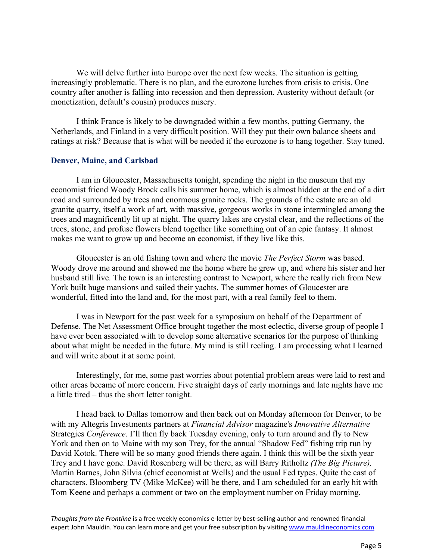We will delve further into Europe over the next few weeks. The situation is getting increasingly problematic. There is no plan, and the eurozone lurches from crisis to crisis. One country after another is falling into recession and then depression. Austerity without default (or monetization, default's cousin) produces misery.

I think France is likely to be downgraded within a few months, putting Germany, the Netherlands, and Finland in a very difficult position. Will they put their own balance sheets and ratings at risk? Because that is what will be needed if the eurozone is to hang together. Stay tuned.

#### **Denver, Maine, and Carlsbad**

I am in Gloucester, Massachusetts tonight, spending the night in the museum that my economist friend Woody Brock calls his summer home, which is almost hidden at the end of a dirt road and surrounded by trees and enormous granite rocks. The grounds of the estate are an old granite quarry, itself a work of art, with massive, gorgeous works in stone intermingled among the trees and magnificently lit up at night. The quarry lakes are crystal clear, and the reflections of the trees, stone, and profuse flowers blend together like something out of an epic fantasy. It almost makes me want to grow up and become an economist, if they live like this.

Gloucester is an old fishing town and where the movie *The Perfect Storm* was based. Woody drove me around and showed me the home where he grew up, and where his sister and her husband still live. The town is an interesting contrast to Newport, where the really rich from New York built huge mansions and sailed their yachts. The summer homes of Gloucester are wonderful, fitted into the land and, for the most part, with a real family feel to them.

I was in Newport for the past week for a symposium on behalf of the Department of Defense. The Net Assessment Office brought together the most eclectic, diverse group of people I have ever been associated with to develop some alternative scenarios for the purpose of thinking about what might be needed in the future. My mind is still reeling. I am processing what I learned and will write about it at some point.

Interestingly, for me, some past worries about potential problem areas were laid to rest and other areas became of more concern. Five straight days of early mornings and late nights have me a little tired – thus the short letter tonight.

I head back to Dallas tomorrow and then back out on Monday afternoon for Denver, to be with my Altegris Investments partners at *Financial Advisor* magazine's *Innovative Alternative* Strategies *Conference*. I'll then fly back Tuesday evening, only to turn around and fly to New York and then on to Maine with my son Trey, for the annual "Shadow Fed" fishing trip run by David Kotok. There will be so many good friends there again. I think this will be the sixth year Trey and I have gone. David Rosenberg will be there, as will Barry Ritholtz *(The Big Picture),* Martin Barnes, John Silvia (chief economist at Wells) and the usual Fed types. Quite the cast of characters. Bloomberg TV (Mike McKee) will be there, and I am scheduled for an early hit with Tom Keene and perhaps a comment or two on the employment number on Friday morning.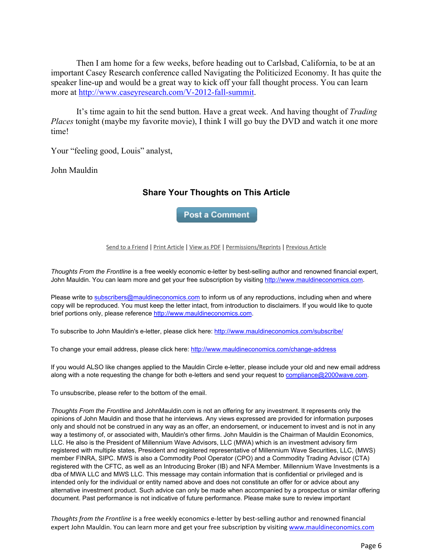Then I am home for a few weeks, before heading out to Carlsbad, California, to be at an important Casey Research conference called Navigating the Politicized Economy. It has quite the speaker line-up and would be a great way to kick off your fall thought process. You can learn more at http://www.caseyresearch.com/V-2012-fall-summit.

It's time again to hit the send button. Have a great week. And having thought of *Trading Places* tonight (maybe my favorite movie), I think I will go buy the DVD and watch it one more time!

Your "feeling good, Louis" analyst,

John Mauldin

## **Share Your Thoughts on This Article**

**Post a Comment** 

Send to a Friend | Print Article | View as PDF | Permissions/Reprints | Previous Article

*Thoughts From the Frontline* is a free weekly economic e-letter by best-selling author and renowned financial expert, John Mauldin. You can learn more and get your free subscription by visiting http://www.mauldineconomics.com.

Please write to subscribers@mauldineconomics.com to inform us of any reproductions, including when and where copy will be reproduced. You must keep the letter intact, from introduction to disclaimers. If you would like to quote brief portions only, please reference http://www.mauldineconomics.com.

To subscribe to John Mauldin's e-letter, please click here: http://www.mauldineconomics.com/subscribe/

To change your email address, please click here: http://www.mauldineconomics.com/change-address

If you would ALSO like changes applied to the Mauldin Circle e-letter, please include your old and new email address along with a note requesting the change for both e-letters and send your request to compliance@2000wave.com.

To unsubscribe, please refer to the bottom of the email.

*Thoughts From the Frontline* and JohnMauldin.com is not an offering for any investment. It represents only the opinions of John Mauldin and those that he interviews. Any views expressed are provided for information purposes only and should not be construed in any way as an offer, an endorsement, or inducement to invest and is not in any way a testimony of, or associated with, Mauldin's other firms. John Mauldin is the Chairman of Mauldin Economics, LLC. He also is the President of Millennium Wave Advisors, LLC (MWA) which is an investment advisory firm registered with multiple states, President and registered representative of Millennium Wave Securities, LLC, (MWS) member FINRA, SIPC. MWS is also a Commodity Pool Operator (CPO) and a Commodity Trading Advisor (CTA) registered with the CFTC, as well as an Introducing Broker (IB) and NFA Member. Millennium Wave Investments is a dba of MWA LLC and MWS LLC. This message may contain information that is confidential or privileged and is intended only for the individual or entity named above and does not constitute an offer for or advice about any alternative investment product. Such advice can only be made when accompanied by a prospectus or similar offering document. Past performance is not indicative of future performance. Please make sure to review important